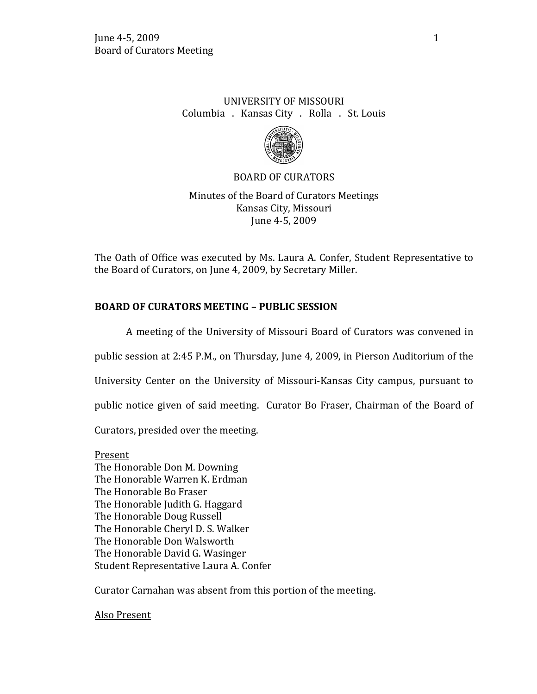# UNIVERSITY OF MISSOURI Columbia . Kansas City . Rolla . St. Louis



BOARD OF CURATORS

Minutes of the Board of Curators Meetings Kansas City, Missouri June 4-5, 2009

The Oath of Office was executed by Ms. Laura A. Confer, Student Representative to the Board of Curators, on June 4, 2009, by Secretary Miller.

# **BOARD OF CURATORS MEETING – PUBLIC SESSION**

A meeting of the University of Missouri Board of Curators was convened in

public session at 2:45 P.M., on Thursday, June 4, 2009, in Pierson Auditorium of the

University Center on the University of Missouri-Kansas City campus, pursuant to

public notice given of said meeting. Curator Bo Fraser, Chairman of the Board of

Curators, presided over the meeting.

Present The Honorable Don M. Downing The Honorable Warren K. Erdman The Honorable Bo Fraser The Honorable Judith G. Haggard The Honorable Doug Russell The Honorable Cheryl D. S. Walker The Honorable Don Walsworth The Honorable David G. Wasinger Student Representative Laura A. Confer

Curator Carnahan was absent from this portion of the meeting.

Also Present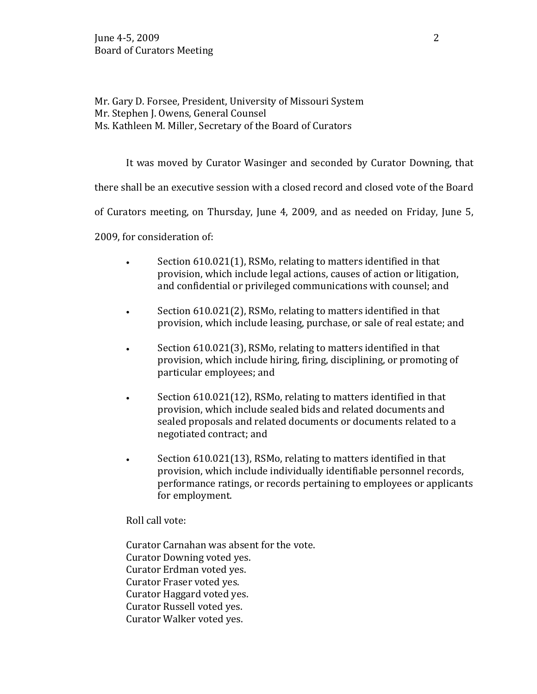Mr. Gary D. Forsee, President, University of Missouri System Mr. Stephen J. Owens, General Counsel Ms. Kathleen M. Miller, Secretary of the Board of Curators

It was moved by Curator Wasinger and seconded by Curator Downing, that

there shall be an executive session with a closed record and closed vote of the Board

of Curators meeting, on Thursday, June 4, 2009, and as needed on Friday, June 5,

2009, for consideration of:

- Section 610.021(1), RSMo, relating to matters identified in that provision, which include legal actions, causes of action or litigation, and confidential or privileged communications with counsel; and
- Section 610.021(2), RSMo, relating to matters identified in that provision, which include leasing, purchase, or sale of real estate; and
- Section 610.021(3), RSMo, relating to matters identified in that provision, which include hiring, firing, disciplining, or promoting of particular employees; and
- Section 610.021(12), RSMo, relating to matters identified in that provision, which include sealed bids and related documents and sealed proposals and related documents or documents related to a negotiated contract; and
- Section 610.021(13), RSMo, relating to matters identified in that provision, which include individually identifiable personnel records, performance ratings, or records pertaining to employees or applicants for employment.

Roll call vote:

Curator Carnahan was absent for the vote. Curator Downing voted yes. Curator Erdman voted yes. Curator Fraser voted yes. Curator Haggard voted yes. Curator Russell voted yes. Curator Walker voted yes.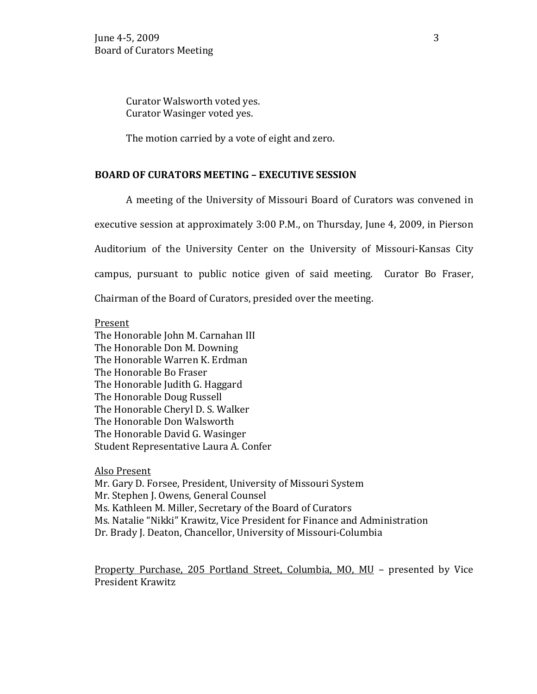Curator Walsworth voted yes. Curator Wasinger voted yes.

The motion carried by a vote of eight and zero.

#### **BOARD OF CURATORS MEETING – EXECUTIVE SESSION**

A meeting of the University of Missouri Board of Curators was convened in executive session at approximately 3:00 P.M., on Thursday, June 4, 2009, in Pierson Auditorium of the University Center on the University of Missouri-Kansas City campus, pursuant to public notice given of said meeting. Curator Bo Fraser, Chairman of the Board of Curators, presided over the meeting.

#### Present

The Honorable John M. Carnahan III The Honorable Don M. Downing The Honorable Warren K. Erdman The Honorable Bo Fraser The Honorable Judith G. Haggard The Honorable Doug Russell The Honorable Cheryl D. S. Walker The Honorable Don Walsworth The Honorable David G. Wasinger Student Representative Laura A. Confer

Also Present

Mr. Gary D. Forsee, President, University of Missouri System Mr. Stephen J. Owens, General Counsel Ms. Kathleen M. Miller, Secretary of the Board of Curators Ms. Natalie "Nikki" Krawitz, Vice President for Finance and Administration Dr. Brady J. Deaton, Chancellor, University of Missouri-Columbia

Property Purchase, 205 Portland Street, Columbia, MO, MU – presented by Vice President Krawitz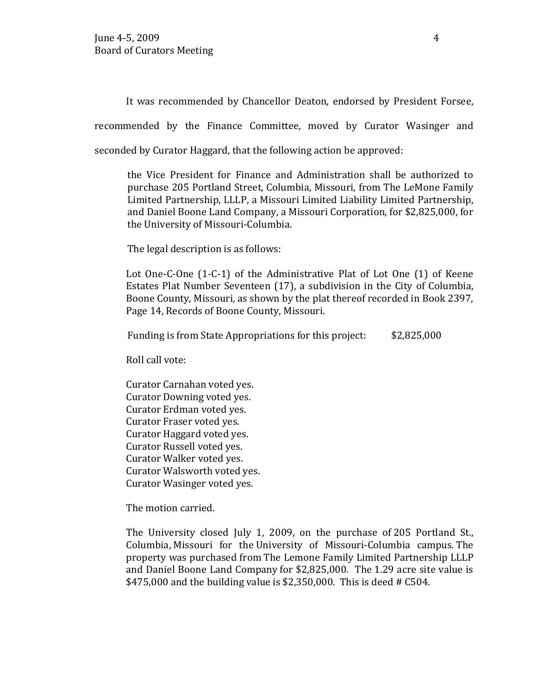It was recommended by Chancellor Deaton, endorsed by President Forsee,

recommended by the Finance Committee, moved by Curator Wasinger and

seconded by Curator Haggard, that the following action be approved:

the Vice President for Finance and Administration shall be authorized to purchase 205 Portland Street, Columbia, Missouri, from The LeMone Family Limited Partnership, LLLP, a Missouri Limited Liability Limited Partnership, and Daniel Boone Land Company, a Missouri Corporation, for \$2,825,000, for the University of Missouri-Columbia.

The legal description is as follows:

Lot One-C-One (1-C-1) of the Administrative Plat of Lot One (1) of Keene Estates Plat Number Seventeen (17), a subdivision in the City of Columbia, Boone County, Missouri, as shown by the plat thereof recorded in Book 2397, Page 14, Records of Boone County, Missouri.

Funding is from State Appropriations for this project: \$2,825,000

Roll call vote:

Curator Carnahan voted yes. Curator Downing voted yes. Curator Erdman voted yes. Curator Fraser voted yes. Curator Haggard voted yes. Curator Russell voted yes. Curator Walker voted yes. Curator Walsworth voted yes. Curator Wasinger voted yes.

The motion carried.

The University closed July 1, 2009, on the purchase of 205 Portland St., Columbia, Missouri for the University of Missouri-Columbia campus. The property was purchased from The Lemone Family Limited Partnership LLLP and Daniel Boone Land Company for \$2,825,000. The 1.29 acre site value is \$475,000 and the building value is \$2,350,000. This is deed # C504.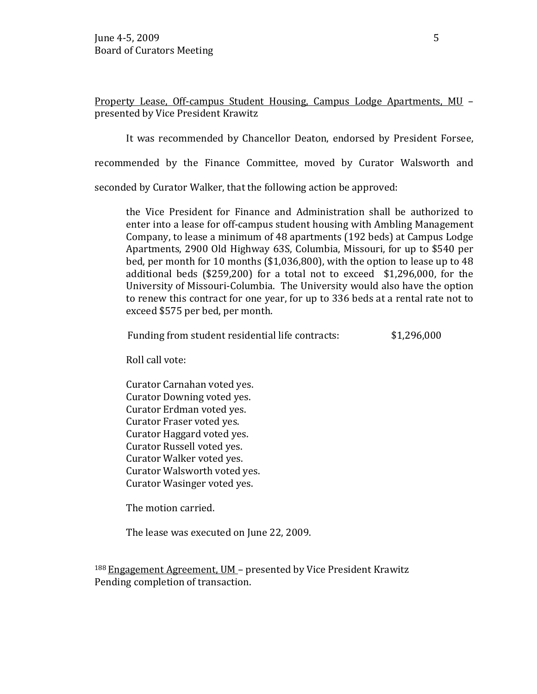Property Lease, Off-campus Student Housing, Campus Lodge Apartments, MU – presented by Vice President Krawitz

It was recommended by Chancellor Deaton, endorsed by President Forsee,

recommended by the Finance Committee, moved by Curator Walsworth and

seconded by Curator Walker, that the following action be approved:

the Vice President for Finance and Administration shall be authorized to enter into a lease for off-campus student housing with Ambling Management Company, to lease a minimum of 48 apartments (192 beds) at Campus Lodge Apartments, 2900 Old Highway 63S, Columbia, Missouri, for up to \$540 per bed, per month for 10 months (\$1,036,800), with the option to lease up to 48 additional beds (\$259,200) for a total not to exceed \$1,296,000, for the University of Missouri-Columbia. The University would also have the option to renew this contract for one year, for up to 336 beds at a rental rate not to exceed \$575 per bed, per month.

Funding from student residential life contracts:  $$1,296,000$ 

Roll call vote:

Curator Carnahan voted yes. Curator Downing voted yes. Curator Erdman voted yes. Curator Fraser voted yes. Curator Haggard voted yes. Curator Russell voted yes. Curator Walker voted yes. Curator Walsworth voted yes. Curator Wasinger voted yes.

The motion carried.

The lease was executed on June 22, 2009.

188 Engagement Agreement, UM – presented by Vice President Krawitz Pending completion of transaction.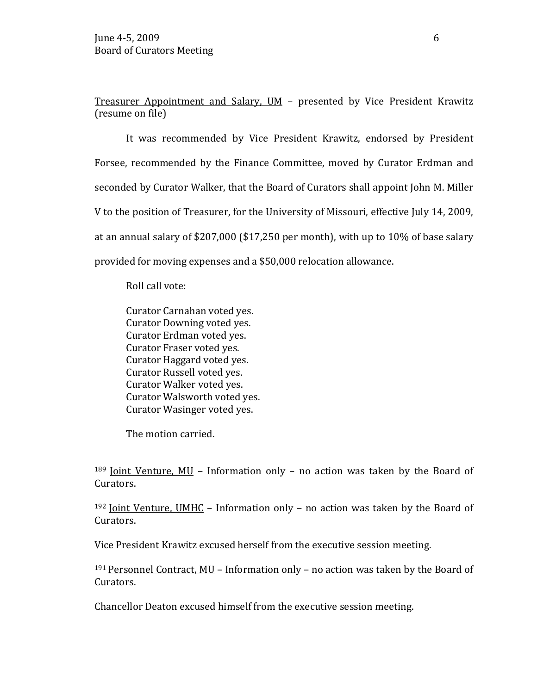Treasurer Appointment and Salary, UM – presented by Vice President Krawitz (resume on file)

It was recommended by Vice President Krawitz, endorsed by President Forsee, recommended by the Finance Committee, moved by Curator Erdman and seconded by Curator Walker, that the Board of Curators shall appoint John M. Miller V to the position of Treasurer, for the University of Missouri, effective July 14, 2009, at an annual salary of \$207,000 (\$17,250 per month), with up to 10% of base salary provided for moving expenses and a \$50,000 relocation allowance.

Roll call vote:

Curator Carnahan voted yes. Curator Downing voted yes. Curator Erdman voted yes. Curator Fraser voted yes. Curator Haggard voted yes. Curator Russell voted yes. Curator Walker voted yes. Curator Walsworth voted yes. Curator Wasinger voted yes.

The motion carried.

 $189$  Joint Venture, MU – Information only – no action was taken by the Board of Curators.

 $192$  Joint Venture, UMHC – Information only – no action was taken by the Board of Curators.

Vice President Krawitz excused herself from the executive session meeting.

191 Personnel Contract, MU – Information only – no action was taken by the Board of Curators.

Chancellor Deaton excused himself from the executive session meeting.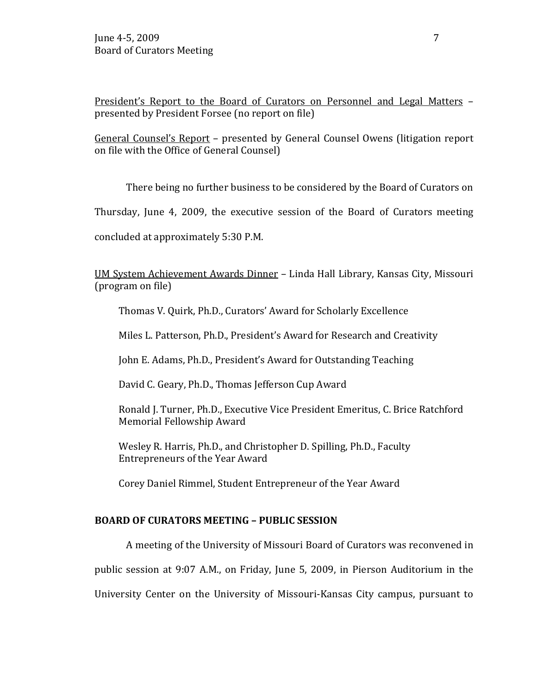President's Report to the Board of Curators on Personnel and Legal Matters – presented by President Forsee (no report on file)

General Counsel's Report – presented by General Counsel Owens (litigation report on file with the Office of General Counsel)

There being no further business to be considered by the Board of Curators on

Thursday, June 4, 2009, the executive session of the Board of Curators meeting

concluded at approximately 5:30 P.M.

UM System Achievement Awards Dinner – Linda Hall Library, Kansas City, Missouri (program on file)

Thomas V. Quirk, Ph.D., Curators' Award for Scholarly Excellence

Miles L. Patterson, Ph.D., President's Award for Research and Creativity

John E. Adams, Ph.D., President's Award for Outstanding Teaching

David C. Geary, Ph.D., Thomas Jefferson Cup Award

Ronald J. Turner, Ph.D., Executive Vice President Emeritus, C. Brice Ratchford Memorial Fellowship Award

Wesley R. Harris, Ph.D., and Christopher D. Spilling, Ph.D., Faculty Entrepreneurs of the Year Award

Corey Daniel Rimmel, Student Entrepreneur of the Year Award

## **BOARD OF CURATORS MEETING – PUBLIC SESSION**

A meeting of the University of Missouri Board of Curators was reconvened in public session at 9:07 A.M., on Friday, June 5, 2009, in Pierson Auditorium in the University Center on the University of Missouri-Kansas City campus, pursuant to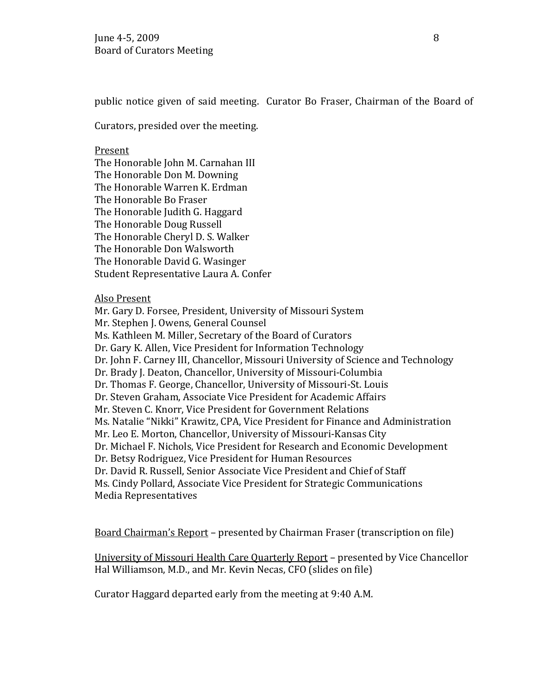public notice given of said meeting. Curator Bo Fraser, Chairman of the Board of

Curators, presided over the meeting.

#### Present

The Honorable John M. Carnahan III The Honorable Don M. Downing The Honorable Warren K. Erdman The Honorable Bo Fraser The Honorable Judith G. Haggard The Honorable Doug Russell The Honorable Cheryl D. S. Walker The Honorable Don Walsworth The Honorable David G. Wasinger Student Representative Laura A. Confer

#### Also Present

Mr. Gary D. Forsee, President, University of Missouri System Mr. Stephen J. Owens, General Counsel Ms. Kathleen M. Miller, Secretary of the Board of Curators Dr. Gary K. Allen, Vice President for Information Technology Dr. John F. Carney III, Chancellor, Missouri University of Science and Technology Dr. Brady J. Deaton, Chancellor, University of Missouri-Columbia Dr. Thomas F. George, Chancellor, University of Missouri-St. Louis Dr. Steven Graham, Associate Vice President for Academic Affairs Mr. Steven C. Knorr, Vice President for Government Relations Ms. Natalie "Nikki" Krawitz, CPA, Vice President for Finance and Administration Mr. Leo E. Morton, Chancellor, University of Missouri-Kansas City Dr. Michael F. Nichols, Vice President for Research and Economic Development Dr. Betsy Rodriguez, Vice President for Human Resources Dr. David R. Russell, Senior Associate Vice President and Chief of Staff Ms. Cindy Pollard, Associate Vice President for Strategic Communications Media Representatives

Board Chairman's Report – presented by Chairman Fraser (transcription on file)

University of Missouri Health Care Quarterly Report – presented by Vice Chancellor Hal Williamson, M.D., and Mr. Kevin Necas, CFO (slides on file)

Curator Haggard departed early from the meeting at 9:40 A.M.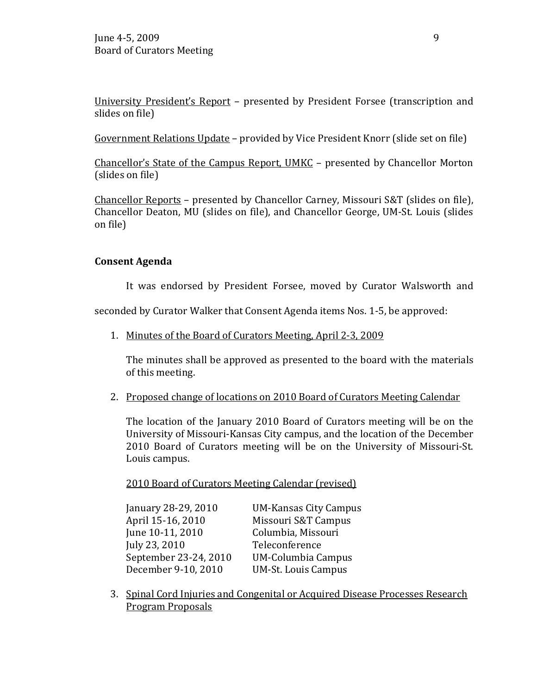University President's Report – presented by President Forsee (transcription and slides on file)

Government Relations Update – provided by Vice President Knorr (slide set on file)

Chancellor's State of the Campus Report, UMKC – presented by Chancellor Morton (slides on file)

Chancellor Reports – presented by Chancellor Carney, Missouri S&T (slides on file), Chancellor Deaton, MU (slides on file), and Chancellor George, UM-St. Louis (slides on file)

## **Consent Agenda**

It was endorsed by President Forsee, moved by Curator Walsworth and

seconded by Curator Walker that Consent Agenda items Nos. 1-5, be approved:

1. Minutes of the Board of Curators Meeting, April 2-3, 2009

The minutes shall be approved as presented to the board with the materials of this meeting.

2. Proposed change of locations on 2010 Board of Curators Meeting Calendar

The location of the January 2010 Board of Curators meeting will be on the University of Missouri-Kansas City campus, and the location of the December 2010 Board of Curators meeting will be on the University of Missouri-St. Louis campus.

2010 Board of Curators Meeting Calendar (revised)

| January 28-29, 2010   | <b>UM-Kansas City Campus</b> |
|-----------------------|------------------------------|
| April 15-16, 2010     | Missouri S&T Campus          |
| June 10-11, 2010      | Columbia, Missouri           |
| July 23, 2010         | Teleconference               |
| September 23-24, 2010 | <b>UM-Columbia Campus</b>    |
| December 9-10, 2010   | <b>UM-St. Louis Campus</b>   |

3. Spinal Cord Injuries and Congenital or Acquired Disease Processes Research Program Proposals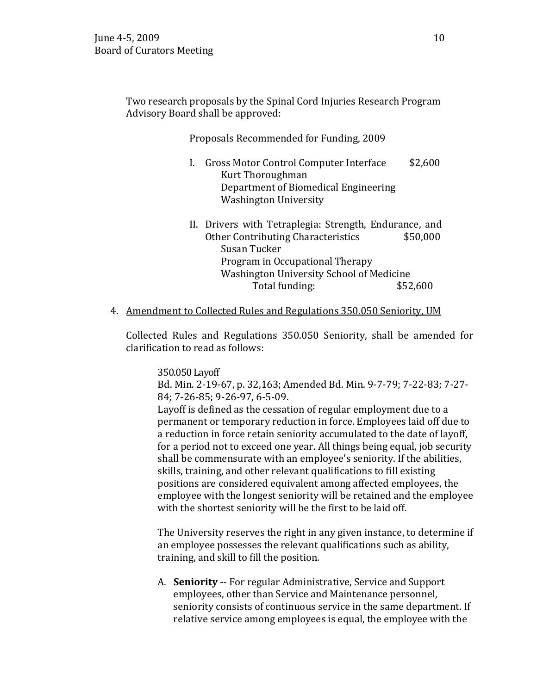Two research proposals by the Spinal Cord Injuries Research Program Advisory Board shall be approved:

## Proposals Recommended for Funding, 2009

- I. Gross Motor Control Computer Interface \$2,600 Kurt Thoroughman Department of Biomedical Engineering Washington University
- II. Drivers with Tetraplegia: Strength, Endurance, and<br>Other Contributing Characteristics \$50,000 Other Contributing Characteristics Susan Tucker Program in Occupational Therapy Washington University School of Medicine<br>Total funding: \$52,600 Total funding:
- 4. Amendment to Collected Rules and Regulations 350.050 Seniority, UM

Collected Rules and Regulations 350.050 Seniority, shall be amended for clarification to read as follows:

350.050 Layoff

Bd. Min. 2-19-67, p. 32,163; Amended Bd. Min. 9-7-79; 7-22-83; 7-27- 84; 7-26-85; 9-26-97, 6-5-09.

Layoff is defined as the cessation of regular employment due to a permanent or temporary reduction in force. Employees laid off due to a reduction in force retain seniority accumulated to the date of layoff, for a period not to exceed one year. All things being equal, job security shall be commensurate with an employee's seniority. If the abilities, skills, training, and other relevant qualifications to fill existing positions are considered equivalent among affected employees, the employee with the longest seniority will be retained and the employee with the shortest seniority will be the first to be laid off.

The University reserves the right in any given instance, to determine if an employee possesses the relevant qualifications such as ability, training, and skill to fill the position.

A. **Seniority** -- For regular Administrative, Service and Support employees, other than Service and Maintenance personnel, seniority consists of continuous service in the same department. If relative service among employees is equal, the employee with the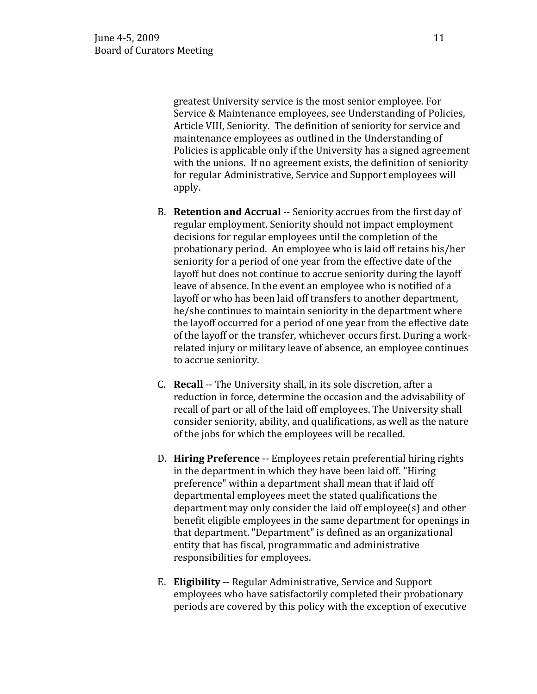greatest University service is the most senior employee. For Service & Maintenance employees, see Understanding of Policies, Article VIII, Seniority. The definition of seniority for service and maintenance employees as outlined in the Understanding of Policies is applicable only if the University has a signed agreement with the unions. If no agreement exists, the definition of seniority for regular Administrative, Service and Support employees will apply.

- B. **Retention and Accrual** -- Seniority accrues from the first day of regular employment. Seniority should not impact employment decisions for regular employees until the completion of the probationary period. An employee who is laid off retains his/her seniority for a period of one year from the effective date of the layoff but does not continue to accrue seniority during the layoff leave of absence. In the event an employee who is notified of a layoff or who has been laid off transfers to another department, he/she continues to maintain seniority in the department where the layoff occurred for a period of one year from the effective date of the layoff or the transfer, whichever occurs first. During a workrelated injury or military leave of absence, an employee continues to accrue seniority.
- C. **Recall** -- The University shall, in its sole discretion, after a reduction in force, determine the occasion and the advisability of recall of part or all of the laid off employees. The University shall consider seniority, ability, and qualifications, as well as the nature of the jobs for which the employees will be recalled.
- D. **Hiring Preference** -- Employees retain preferential hiring rights in the department in which they have been laid off. "Hiring preference" within a department shall mean that if laid off departmental employees meet the stated qualifications the department may only consider the laid off employee(s) and other benefit eligible employees in the same department for openings in that department. "Department" is defined as an organizational entity that has fiscal, programmatic and administrative responsibilities for employees.
- E. **Eligibility** -- Regular Administrative, Service and Support employees who have satisfactorily completed their probationary periods are covered by this policy with the exception of executive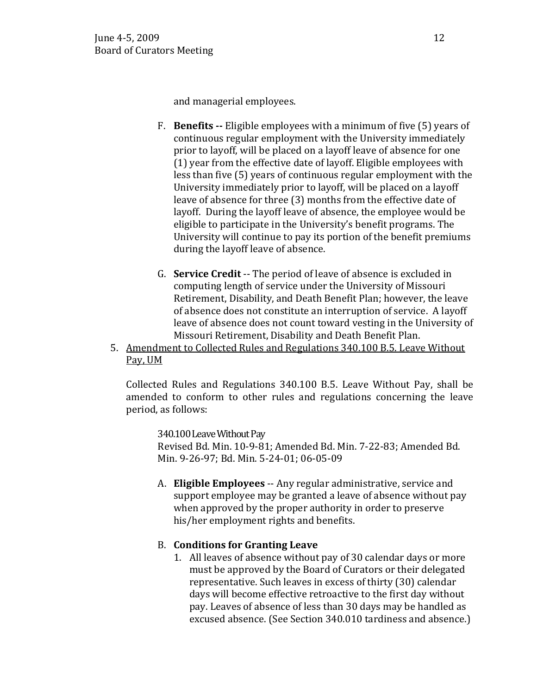and managerial employees.

- F. **Benefits --** Eligible employees with a minimum of five (5) years of continuous regular employment with the University immediately prior to layoff, will be placed on a layoff leave of absence for one (1) year from the effective date of layoff. Eligible employees with less than five (5) years of continuous regular employment with the University immediately prior to layoff, will be placed on a layoff leave of absence for three (3) months from the effective date of layoff. During the layoff leave of absence, the employee would be eligible to participate in the University's benefit programs. The University will continue to pay its portion of the benefit premiums during the layoff leave of absence.
- G. **Service Credit** -- The period of leave of absence is excluded in computing length of service under the University of Missouri Retirement, Disability, and Death Benefit Plan; however, the leave of absence does not constitute an interruption of service. A layoff leave of absence does not count toward vesting in the University of Missouri Retirement, Disability and Death Benefit Plan.
- 5. Amendment to Collected Rules and Regulations 340.100 B.5. Leave Without Pay, UM

Collected Rules and Regulations 340.100 B.5. Leave Without Pay, shall be amended to conform to other rules and regulations concerning the leave period, as follows:

340.100 Leave Without Pay

Revised Bd. Min. 10-9-81; Amended Bd. Min. 7-22-83; Amended Bd. Min. 9-26-97; Bd. Min. 5-24-01; 06-05-09

A. **Eligible Employees** -- Any regular administrative, service and support employee may be granted a leave of absence without pay when approved by the proper authority in order to preserve his/her employment rights and benefits.

## B. **Conditions for Granting Leave**

1. All leaves of absence without pay of 30 calendar days or more must be approved by the Board of Curators or their delegated representative. Such leaves in excess of thirty (30) calendar days will become effective retroactive to the first day without pay. Leaves of absence of less than 30 days may be handled as excused absence. (See Section 340.010 tardiness and absence.)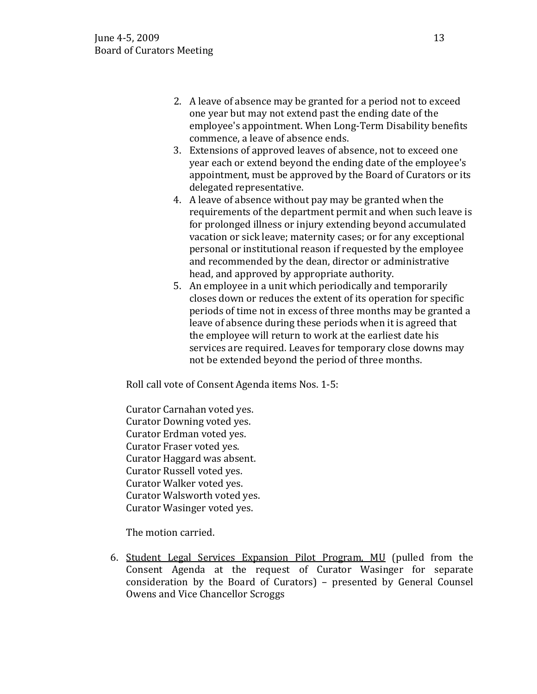- 2. A leave of absence may be granted for a period not to exceed one year but may not extend past the ending date of the employee's appointment. When Long-Term Disability benefits commence, a leave of absence ends.
- 3. Extensions of approved leaves of absence, not to exceed one year each or extend beyond the ending date of the employee's appointment, must be approved by the Board of Curators or its delegated representative.
- 4. A leave of absence without pay may be granted when the requirements of the department permit and when such leave is for prolonged illness or injury extending beyond accumulated vacation or sick leave; maternity cases; or for any exceptional personal or institutional reason if requested by the employee and recommended by the dean, director or administrative head, and approved by appropriate authority.
- 5. An employee in a unit which periodically and temporarily closes down or reduces the extent of its operation for specific periods of time not in excess of three months may be granted a leave of absence during these periods when it is agreed that the employee will return to work at the earliest date his services are required. Leaves for temporary close downs may not be extended beyond the period of three months.

Roll call vote of Consent Agenda items Nos. 1-5:

Curator Carnahan voted yes. Curator Downing voted yes. Curator Erdman voted yes. Curator Fraser voted yes. Curator Haggard was absent. Curator Russell voted yes. Curator Walker voted yes. Curator Walsworth voted yes. Curator Wasinger voted yes.

The motion carried.

6. Student Legal Services Expansion Pilot Program, MU (pulled from the Consent Agenda at the request of Curator Wasinger for separate consideration by the Board of Curators) – presented by General Counsel Owens and Vice Chancellor Scroggs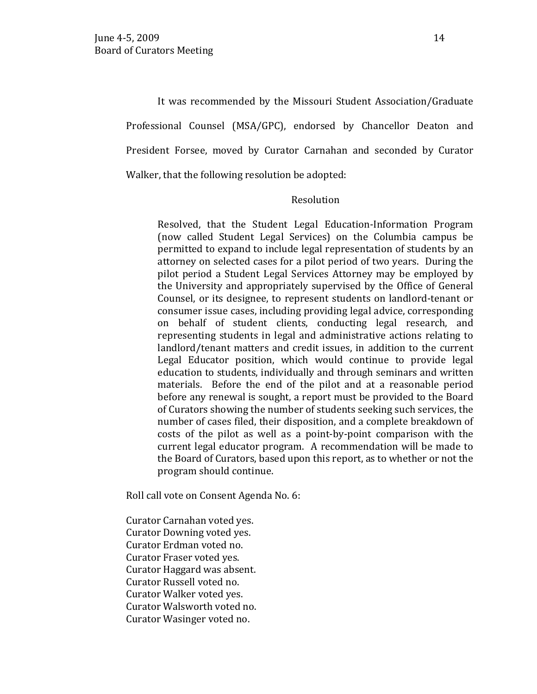It was recommended by the Missouri Student Association/Graduate Professional Counsel (MSA/GPC), endorsed by Chancellor Deaton and President Forsee, moved by Curator Carnahan and seconded by Curator Walker, that the following resolution be adopted:

#### Resolution

Resolved, that the Student Legal Education-Information Program (now called Student Legal Services) on the Columbia campus be permitted to expand to include legal representation of students by an attorney on selected cases for a pilot period of two years. During the pilot period a Student Legal Services Attorney may be employed by the University and appropriately supervised by the Office of General Counsel, or its designee, to represent students on landlord-tenant or consumer issue cases, including providing legal advice, corresponding on behalf of student clients, conducting legal research, and representing students in legal and administrative actions relating to landlord/tenant matters and credit issues, in addition to the current Legal Educator position, which would continue to provide legal education to students, individually and through seminars and written materials. Before the end of the pilot and at a reasonable period before any renewal is sought, a report must be provided to the Board of Curators showing the number of students seeking such services, the number of cases filed, their disposition, and a complete breakdown of costs of the pilot as well as a point-by-point comparison with the current legal educator program. A recommendation will be made to the Board of Curators, based upon this report, as to whether or not the program should continue.

Roll call vote on Consent Agenda No. 6:

Curator Carnahan voted yes. Curator Downing voted yes. Curator Erdman voted no. Curator Fraser voted yes. Curator Haggard was absent. Curator Russell voted no. Curator Walker voted yes. Curator Walsworth voted no. Curator Wasinger voted no.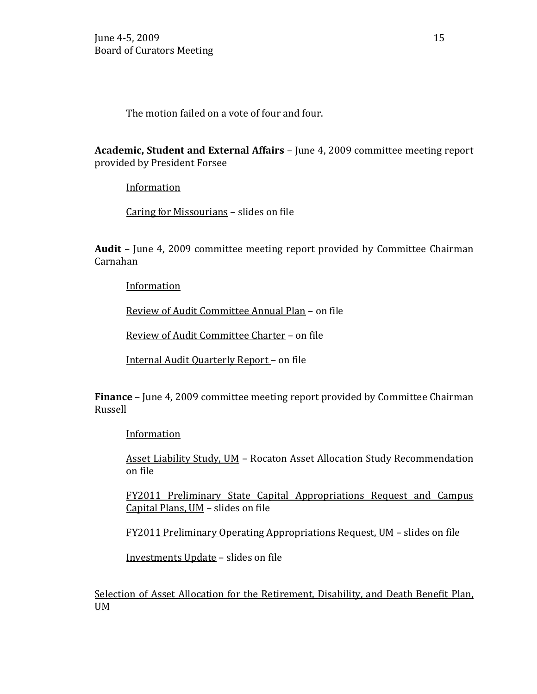The motion failed on a vote of four and four.

**Academic, Student and External Affairs** – June 4, 2009 committee meeting report provided by President Forsee

**Information** 

Caring for Missourians – slides on file

**Audit** – June 4, 2009 committee meeting report provided by Committee Chairman Carnahan

**Information** 

Review of Audit Committee Annual Plan – on file

Review of Audit Committee Charter – on file

Internal Audit Quarterly Report – on file

**Finance** – June 4, 2009 committee meeting report provided by Committee Chairman Russell

**Information** 

Asset Liability Study, UM – Rocaton Asset Allocation Study Recommendation on file

FY2011 Preliminary State Capital Appropriations Request and Campus Capital Plans, UM – slides on file

FY2011 Preliminary Operating Appropriations Request, UM – slides on file

Investments Update – slides on file

Selection of Asset Allocation for the Retirement, Disability, and Death Benefit Plan, UM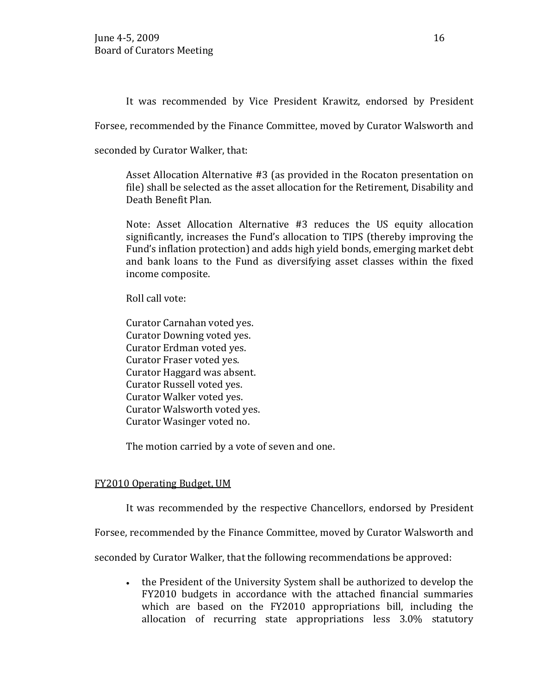It was recommended by Vice President Krawitz, endorsed by President

Forsee, recommended by the Finance Committee, moved by Curator Walsworth and

seconded by Curator Walker, that:

Asset Allocation Alternative #3 (as provided in the Rocaton presentation on file) shall be selected as the asset allocation for the Retirement, Disability and Death Benefit Plan.

Note: Asset Allocation Alternative #3 reduces the US equity allocation significantly, increases the Fund's allocation to TIPS (thereby improving the Fund's inflation protection) and adds high yield bonds, emerging market debt and bank loans to the Fund as diversifying asset classes within the fixed income composite.

Roll call vote:

Curator Carnahan voted yes. Curator Downing voted yes. Curator Erdman voted yes. Curator Fraser voted yes. Curator Haggard was absent. Curator Russell voted yes. Curator Walker voted yes. Curator Walsworth voted yes. Curator Wasinger voted no.

The motion carried by a vote of seven and one.

# FY2010 Operating Budget, UM

It was recommended by the respective Chancellors, endorsed by President

Forsee, recommended by the Finance Committee, moved by Curator Walsworth and

seconded by Curator Walker, that the following recommendations be approved:

• the President of the University System shall be authorized to develop the FY2010 budgets in accordance with the attached financial summaries which are based on the FY2010 appropriations bill, including the allocation of recurring state appropriations less 3.0% statutory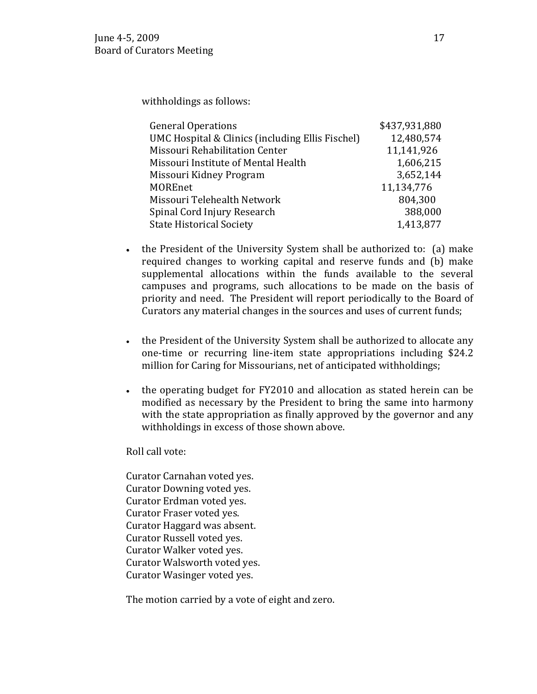withholdings as follows:

| <b>General Operations</b>                        | \$437,931,880 |
|--------------------------------------------------|---------------|
| UMC Hospital & Clinics (including Ellis Fischel) | 12,480,574    |
| Missouri Rehabilitation Center                   | 11,141,926    |
| Missouri Institute of Mental Health              | 1,606,215     |
| Missouri Kidney Program                          | 3,652,144     |
| <b>MOREnet</b>                                   | 11,134,776    |
| Missouri Telehealth Network                      | 804,300       |
| Spinal Cord Injury Research                      | 388,000       |
| <b>State Historical Society</b>                  | 1,413,877     |

- the President of the University System shall be authorized to: (a) make required changes to working capital and reserve funds and (b) make supplemental allocations within the funds available to the several campuses and programs, such allocations to be made on the basis of priority and need. The President will report periodically to the Board of Curators any material changes in the sources and uses of current funds;
- the President of the University System shall be authorized to allocate any one-time or recurring line-item state appropriations including \$24.2 million for Caring for Missourians, net of anticipated withholdings;
- the operating budget for FY2010 and allocation as stated herein can be modified as necessary by the President to bring the same into harmony with the state appropriation as finally approved by the governor and any withholdings in excess of those shown above.

Roll call vote:

Curator Carnahan voted yes. Curator Downing voted yes. Curator Erdman voted yes. Curator Fraser voted yes. Curator Haggard was absent. Curator Russell voted yes. Curator Walker voted yes. Curator Walsworth voted yes. Curator Wasinger voted yes.

The motion carried by a vote of eight and zero.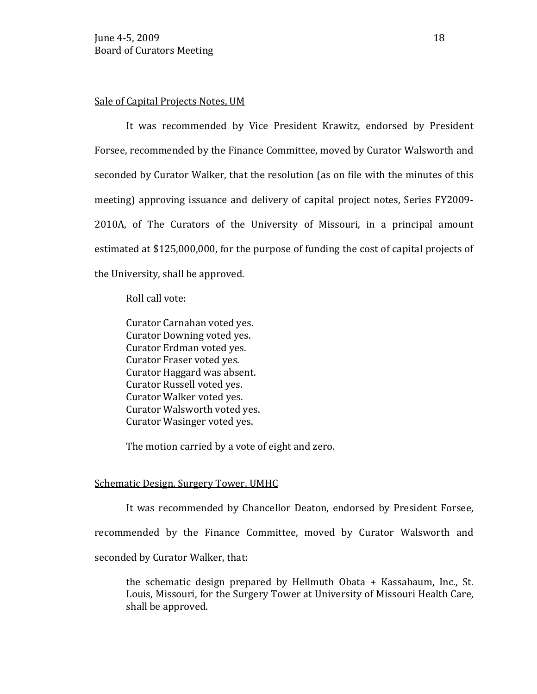## Sale of Capital Projects Notes, UM

It was recommended by Vice President Krawitz, endorsed by President Forsee, recommended by the Finance Committee, moved by Curator Walsworth and seconded by Curator Walker, that the resolution (as on file with the minutes of this meeting) approving issuance and delivery of capital project notes, Series FY2009- 2010A, of The Curators of the University of Missouri, in a principal amount estimated at \$125,000,000, for the purpose of funding the cost of capital projects of the University, shall be approved.

Roll call vote:

Curator Carnahan voted yes. Curator Downing voted yes. Curator Erdman voted yes. Curator Fraser voted yes. Curator Haggard was absent. Curator Russell voted yes. Curator Walker voted yes. Curator Walsworth voted yes. Curator Wasinger voted yes.

The motion carried by a vote of eight and zero.

#### Schematic Design, Surgery Tower, UMHC

It was recommended by Chancellor Deaton, endorsed by President Forsee,

recommended by the Finance Committee, moved by Curator Walsworth and

seconded by Curator Walker, that:

the schematic design prepared by Hellmuth Obata + Kassabaum, Inc., St. Louis, Missouri, for the Surgery Tower at University of Missouri Health Care, shall be approved.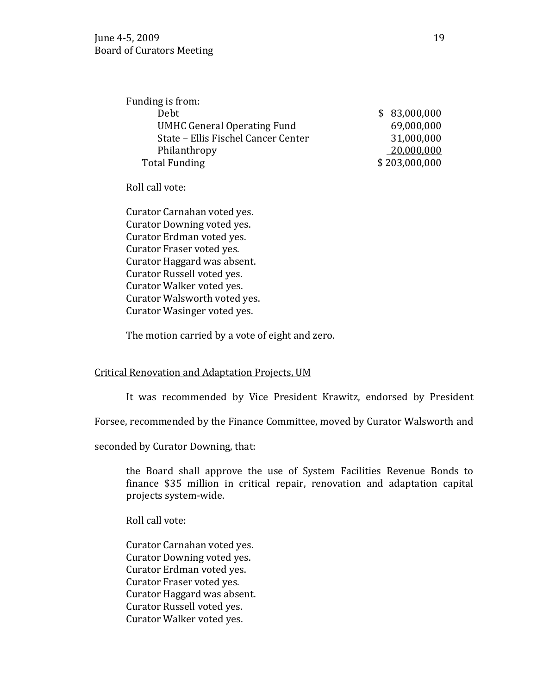| Funding is from:                    |               |
|-------------------------------------|---------------|
| Debt                                | \$83,000,000  |
| <b>UMHC General Operating Fund</b>  | 69,000,000    |
| State - Ellis Fischel Cancer Center | 31,000,000    |
| Philanthropy                        | 20,000,000    |
| <b>Total Funding</b>                | \$203,000,000 |
|                                     |               |

Roll call vote:

Curator Carnahan voted yes. Curator Downing voted yes. Curator Erdman voted yes. Curator Fraser voted yes. Curator Haggard was absent. Curator Russell voted yes. Curator Walker voted yes. Curator Walsworth voted yes. Curator Wasinger voted yes.

The motion carried by a vote of eight and zero.

## Critical Renovation and Adaptation Projects, UM

It was recommended by Vice President Krawitz, endorsed by President

Forsee, recommended by the Finance Committee, moved by Curator Walsworth and

seconded by Curator Downing, that:

the Board shall approve the use of System Facilities Revenue Bonds to finance \$35 million in critical repair, renovation and adaptation capital projects system-wide.

Roll call vote:

Curator Carnahan voted yes. Curator Downing voted yes. Curator Erdman voted yes. Curator Fraser voted yes. Curator Haggard was absent. Curator Russell voted yes. Curator Walker voted yes.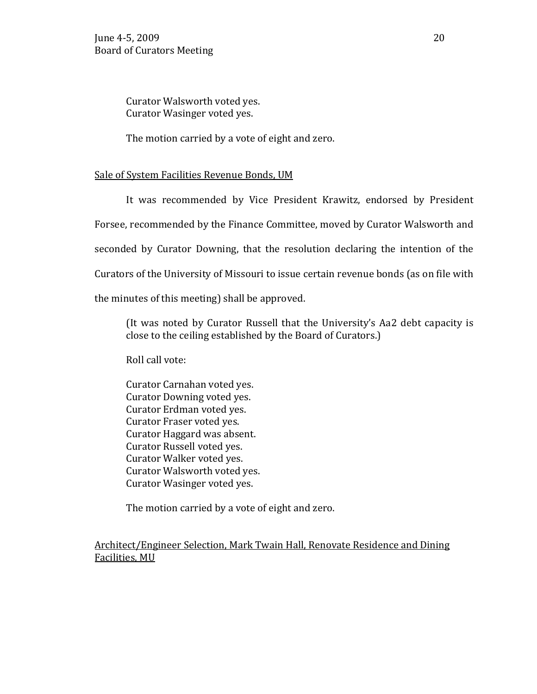Curator Walsworth voted yes. Curator Wasinger voted yes.

The motion carried by a vote of eight and zero.

## Sale of System Facilities Revenue Bonds, UM

It was recommended by Vice President Krawitz, endorsed by President

Forsee, recommended by the Finance Committee, moved by Curator Walsworth and

seconded by Curator Downing, that the resolution declaring the intention of the

Curators of the University of Missouri to issue certain revenue bonds (as on file with

the minutes of this meeting) shall be approved.

(It was noted by Curator Russell that the University's Aa2 debt capacity is close to the ceiling established by the Board of Curators.)

Roll call vote:

Curator Carnahan voted yes. Curator Downing voted yes. Curator Erdman voted yes. Curator Fraser voted yes. Curator Haggard was absent. Curator Russell voted yes. Curator Walker voted yes. Curator Walsworth voted yes. Curator Wasinger voted yes.

The motion carried by a vote of eight and zero.

Architect/Engineer Selection, Mark Twain Hall, Renovate Residence and Dining Facilities, MU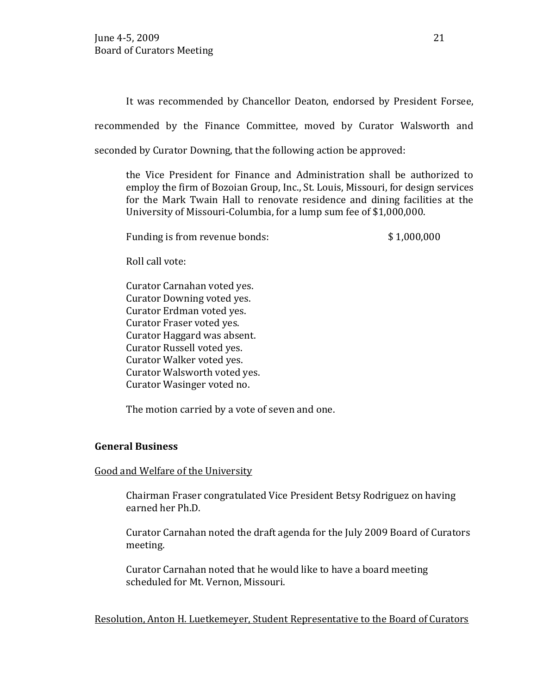It was recommended by Chancellor Deaton, endorsed by President Forsee,

recommended by the Finance Committee, moved by Curator Walsworth and

seconded by Curator Downing, that the following action be approved:

the Vice President for Finance and Administration shall be authorized to employ the firm of Bozoian Group, Inc., St. Louis, Missouri, for design services for the Mark Twain Hall to renovate residence and dining facilities at the University of Missouri-Columbia, for a lump sum fee of \$1,000,000.

Funding is from revenue bonds:  $$1,000,000$ 

Roll call vote:

Curator Carnahan voted yes. Curator Downing voted yes. Curator Erdman voted yes. Curator Fraser voted yes. Curator Haggard was absent. Curator Russell voted yes. Curator Walker voted yes. Curator Walsworth voted yes. Curator Wasinger voted no.

The motion carried by a vote of seven and one.

# **General Business**

## Good and Welfare of the University

Chairman Fraser congratulated Vice President Betsy Rodriguez on having earned her Ph.D.

Curator Carnahan noted the draft agenda for the July 2009 Board of Curators meeting.

Curator Carnahan noted that he would like to have a board meeting scheduled for Mt. Vernon, Missouri.

Resolution, Anton H. Luetkemeyer, Student Representative to the Board of Curators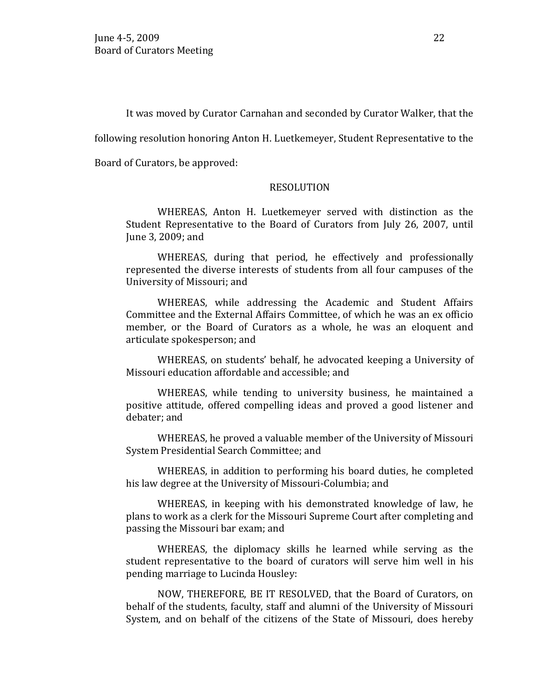It was moved by Curator Carnahan and seconded by Curator Walker, that the

following resolution honoring Anton H. Luetkemeyer, Student Representative to the

Board of Curators, be approved:

#### RESOLUTION

WHEREAS, Anton H. Luetkemeyer served with distinction as the Student Representative to the Board of Curators from July 26, 2007, until June 3, 2009; and

WHEREAS, during that period, he effectively and professionally represented the diverse interests of students from all four campuses of the University of Missouri; and

WHEREAS, while addressing the Academic and Student Affairs Committee and the External Affairs Committee, of which he was an ex officio member, or the Board of Curators as a whole, he was an eloquent and articulate spokesperson; and

WHEREAS, on students' behalf, he advocated keeping a University of Missouri education affordable and accessible; and

WHEREAS, while tending to university business, he maintained a positive attitude, offered compelling ideas and proved a good listener and debater; and

WHEREAS, he proved a valuable member of the University of Missouri System Presidential Search Committee; and

WHEREAS, in addition to performing his board duties, he completed his law degree at the University of Missouri-Columbia; and

WHEREAS, in keeping with his demonstrated knowledge of law, he plans to work as a clerk for the Missouri Supreme Court after completing and passing the Missouri bar exam; and

WHEREAS, the diplomacy skills he learned while serving as the student representative to the board of curators will serve him well in his pending marriage to Lucinda Housley:

NOW, THEREFORE, BE IT RESOLVED, that the Board of Curators, on behalf of the students, faculty, staff and alumni of the University of Missouri System, and on behalf of the citizens of the State of Missouri, does hereby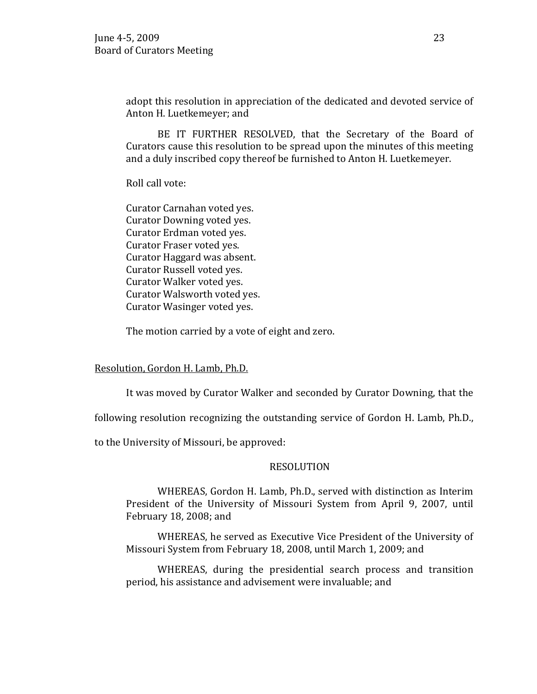adopt this resolution in appreciation of the dedicated and devoted service of Anton H. Luetkemeyer; and

BE IT FURTHER RESOLVED, that the Secretary of the Board of Curators cause this resolution to be spread upon the minutes of this meeting and a duly inscribed copy thereof be furnished to Anton H. Luetkemeyer.

Roll call vote:

Curator Carnahan voted yes. Curator Downing voted yes. Curator Erdman voted yes. Curator Fraser voted yes. Curator Haggard was absent. Curator Russell voted yes. Curator Walker voted yes. Curator Walsworth voted yes. Curator Wasinger voted yes.

The motion carried by a vote of eight and zero.

Resolution, Gordon H. Lamb, Ph.D.

It was moved by Curator Walker and seconded by Curator Downing, that the

following resolution recognizing the outstanding service of Gordon H. Lamb, Ph.D.,

to the University of Missouri, be approved:

#### RESOLUTION

WHEREAS, Gordon H. Lamb, Ph.D., served with distinction as Interim President of the University of Missouri System from April 9, 2007, until February 18, 2008; and

WHEREAS, he served as Executive Vice President of the University of Missouri System from February 18, 2008, until March 1, 2009; and

WHEREAS, during the presidential search process and transition period, his assistance and advisement were invaluable; and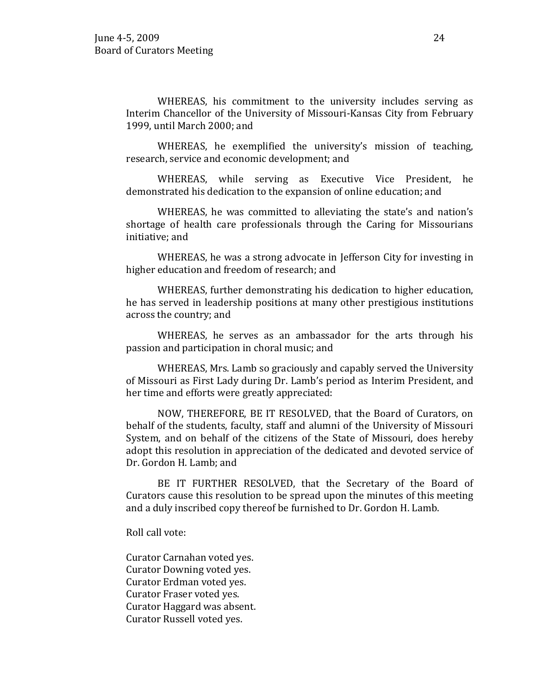WHEREAS, his commitment to the university includes serving as Interim Chancellor of the University of Missouri-Kansas City from February 1999, until March 2000; and

WHEREAS, he exemplified the university's mission of teaching, research, service and economic development; and

WHEREAS, while serving as Executive Vice President, he demonstrated his dedication to the expansion of online education; and

WHEREAS, he was committed to alleviating the state's and nation's shortage of health care professionals through the Caring for Missourians initiative; and

WHEREAS, he was a strong advocate in Jefferson City for investing in higher education and freedom of research; and

WHEREAS, further demonstrating his dedication to higher education, he has served in leadership positions at many other prestigious institutions across the country; and

WHEREAS, he serves as an ambassador for the arts through his passion and participation in choral music; and

WHEREAS, Mrs. Lamb so graciously and capably served the University of Missouri as First Lady during Dr. Lamb's period as Interim President, and her time and efforts were greatly appreciated:

NOW, THEREFORE, BE IT RESOLVED, that the Board of Curators, on behalf of the students, faculty, staff and alumni of the University of Missouri System, and on behalf of the citizens of the State of Missouri, does hereby adopt this resolution in appreciation of the dedicated and devoted service of Dr. Gordon H. Lamb; and

BE IT FURTHER RESOLVED, that the Secretary of the Board of Curators cause this resolution to be spread upon the minutes of this meeting and a duly inscribed copy thereof be furnished to Dr. Gordon H. Lamb.

Roll call vote:

Curator Carnahan voted yes. Curator Downing voted yes. Curator Erdman voted yes. Curator Fraser voted yes. Curator Haggard was absent. Curator Russell voted yes.